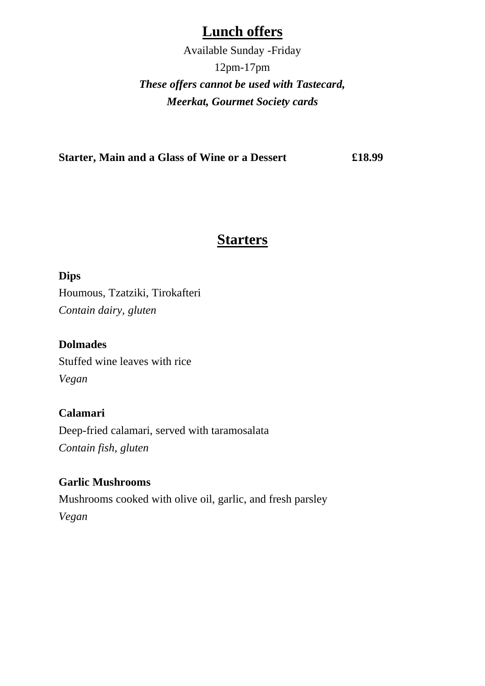## **Lunch offers**

Available Sunday -Friday 12pm-17pm *These offers cannot be used with Tastecard, Meerkat, Gourmet Society cards*

**Starter, Main and a Glass of Wine or a Dessert £18.99**

## **Starters**

**Dips** 

Houmous, Tzatziki, Tirokafteri *Contain dairy, gluten*

**Dolmades** Stuffed wine leaves with rice *Vegan*

**Calamari** Deep-fried calamari, served with taramosalata *Contain fish, gluten*

**Garlic Mushrooms** Mushrooms cooked with olive oil, garlic, and fresh parsley *Vegan*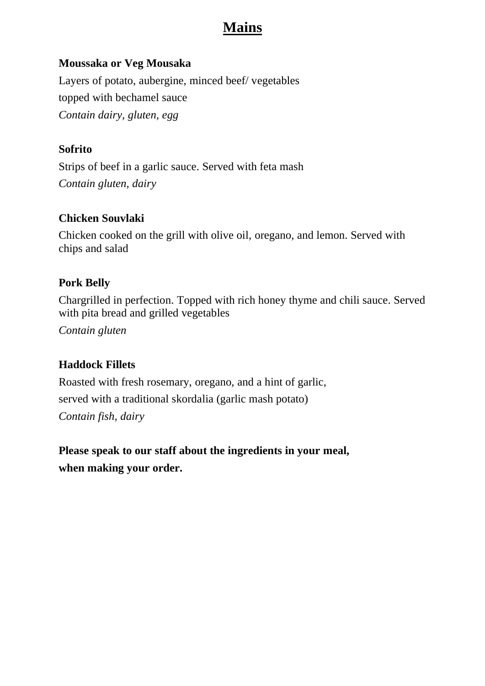# **Mains**

#### **Moussaka or Veg Mousaka**

Layers of potato, aubergine, minced beef/ vegetables topped with bechamel sauce *Contain dairy, gluten, egg*

#### **Sofrito**

Strips of beef in a garlic sauce. Served with feta mash *Contain gluten, dairy*

#### **Chicken Souvlaki**

Chicken cooked on the grill with olive oil, oregano, and lemon. Served with chips and salad

#### **Pork Belly**

Chargrilled in perfection. Topped with rich honey thyme and chili sauce. Served with pita bread and grilled vegetables

*Contain gluten*

#### **Haddock Fillets**

Roasted with fresh rosemary, oregano, and a hint of garlic, served with a traditional skordalia (garlic mash potato) *Contain fish, dairy*

**Please speak to our staff about the ingredients in your meal, when making your order.**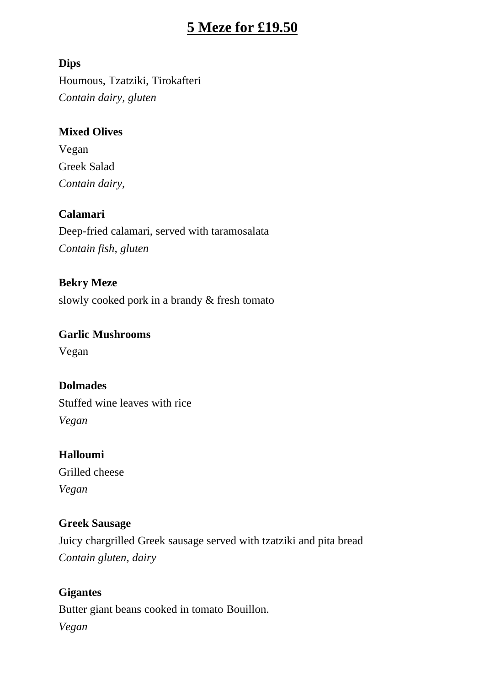## **5 Meze for £19.50**

#### **Dips**

Houmous, Tzatziki, Tirokafteri *Contain dairy, gluten*

#### **Mixed Olives**

Vegan Greek Salad *Contain dairy,*

#### **Calamari**

Deep-fried calamari, served with taramosalata *Contain fish, gluten*

**Bekry Meze** slowly cooked pork in a brandy & fresh tomato

# **Garlic Mushrooms**

Vegan

#### **Dolmades**

Stuffed wine leaves with rice *Vegan*

#### **Halloumi**

Grilled cheese *Vegan*

#### **Greek Sausage**

Juicy chargrilled Greek sausage served with tzatziki and pita bread *Contain gluten, dairy*

## **Gigantes** Butter giant beans cooked in tomato Bouillon. *Vegan*